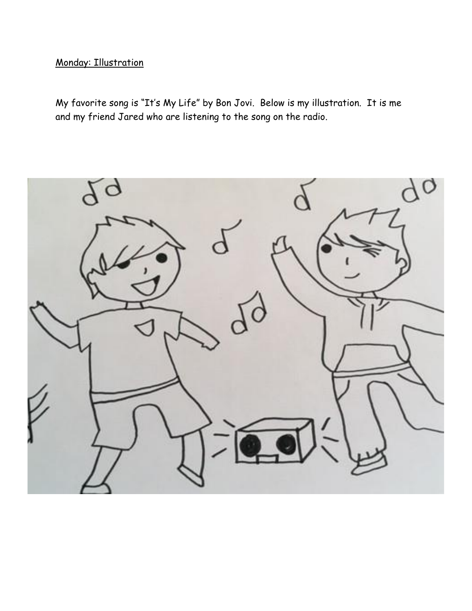## Monday: Illustration

My favorite song is "It's My Life" by Bon Jovi. Below is my illustration. It is me and my friend Jared who are listening to the song on the radio.

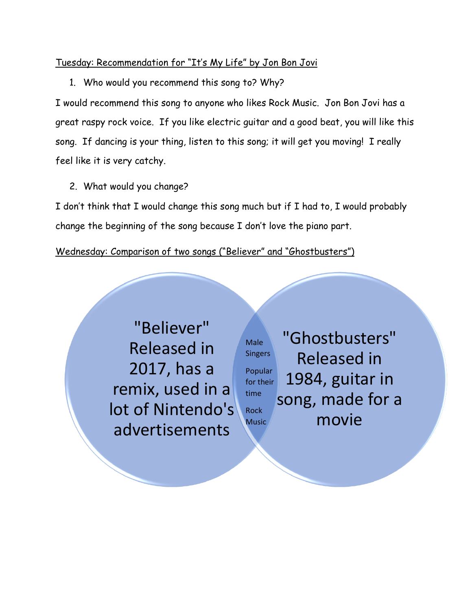## Tuesday: Recommendation for "It's My Life" by Jon Bon Jovi

1. Who would you recommend this song to? Why?

I would recommend this song to anyone who likes Rock Music. Jon Bon Jovi has a great raspy rock voice. If you like electric guitar and a good beat, you will like this song. If dancing is your thing, listen to this song; it will get you moving! I really feel like it is very catchy.

2. What would you change?

I don't think that I would change this song much but if I had to, I would probably change the beginning of the song because I don't love the piano part.

Wednesday: Comparison of two songs ("Believer" and "Ghostbusters")

"Believer" Released in 2017, has a remix, used in a lot of Nintendo's advertisements

"Ghostbusters" Released in 1984, guitar in song, made for a movie Male **Singers** Popular for their time Rock Music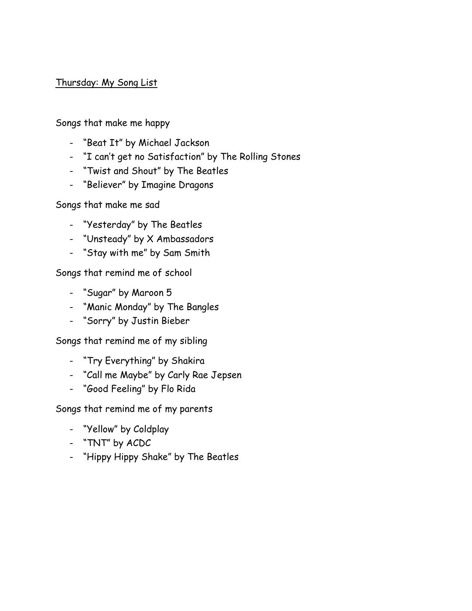## Thursday: My Song List

Songs that make me happy

- "Beat It" by Michael Jackson
- "I can't get no Satisfaction" by The Rolling Stones
- "Twist and Shout" by The Beatles
- "Believer" by Imagine Dragons

Songs that make me sad

- "Yesterday" by The Beatles
- "Unsteady" by X Ambassadors
- "Stay with me" by Sam Smith

Songs that remind me of school

- "Sugar" by Maroon 5
- "Manic Monday" by The Bangles
- "Sorry" by Justin Bieber

Songs that remind me of my sibling

- "Try Everything" by Shakira
- "Call me Maybe" by Carly Rae Jepsen
- "Good Feeling" by Flo Rida

Songs that remind me of my parents

- "Yellow" by Coldplay
- "TNT" by ACDC
- "Hippy Hippy Shake" by The Beatles